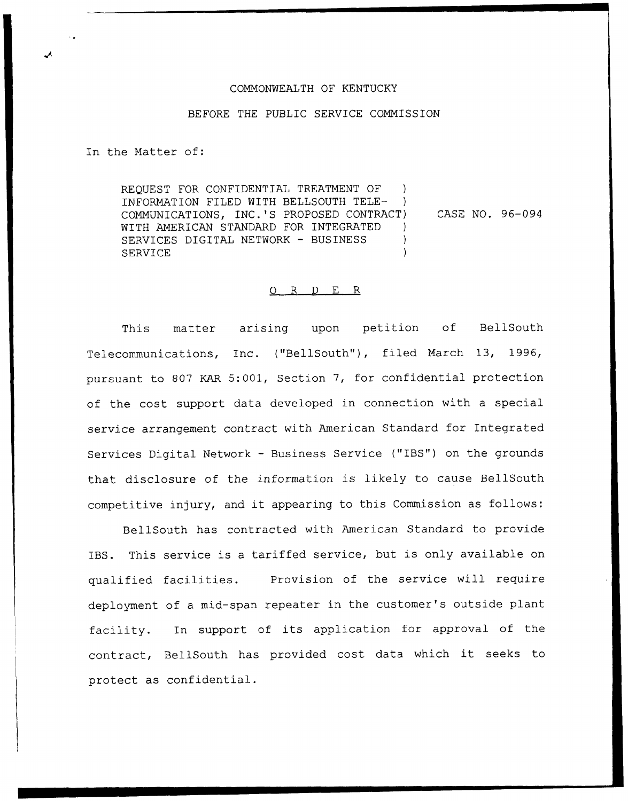## COMMONWEALTH OF KENTUCKY

## BEFORE THE PUBLIC SERVICE COMMISSION

In the Matter of:

REQUEST FOR CONFIDENTIAL TREATMENT OF INFORMATION FILED WITH BELLSOUTH TELE- ) COMMUNICATIONS, INC.'S PROPOSED CONTRACT) WITH AMERICAN STANDARD FOR INTEGRATED ) SERVICES DIGITAL NETWORK - BUSINESS ) SERVICE  $\qquad \qquad$ CASE NO. 96—094

## 0 R <sup>D</sup> E R

This matter arising upon petition of BellSouth Telecommunications, Inc. ("BellSouth"), filed March 13, 1996, pursuant to 807 KAR 5:001, Section 7, for confidential protection of the cost support data developed in connection with a special service arrangement contract with American Standard for Integrated Services Digital Network — Business Service ("IBS") on the grounds that disclosure of the information is likely to cause BellSouth competitive injury, and it appearing to this Commission as follows:

BellSouth has contracted with American Standard to provide IBS. This service is <sup>a</sup> tariffed service, but is only available on qualified facilities. Provision of the service will require deployment of a mid-span repeater in the customer's outside plant facility. In support of its application for approval of the contract, BellSouth has provided cost data which it seeks to protect as confidential.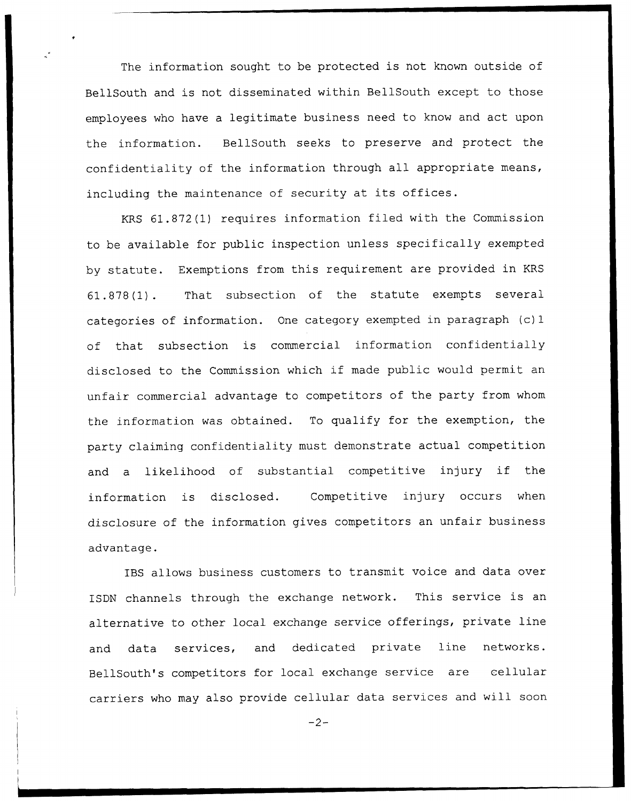The information sought to be protected is not known outside of BellSouth and is not disseminated within BellSouth except to those employees who have a legitimate business need to know and act upon the information. BellSouth seeks to preserve and protect the confidentiality of the information through all appropriate means, including the maintenance of security at its offices.

KRS 61.872 (1) requires information filed with the Commission to be available for public inspection unless specifically exempted by statute. Exemptions from this requirement are provided in KRS 61.878(1). That subsection of the statute exempts several categories of information. One category exempted in paragraph (c) <sup>1</sup> of that subsection is commercial information confidentially disclosed to the Commission which if made public would permit an unfair commercial advantage to competitors of the party from whom the information was obtained. To qualify for the exemption, the party claiming confidentiality must demonstrate actual competition and <sup>a</sup> likelihood of substantial competitive injury if the information is disclosed. Competitive injury occurs when disclosure of the information gives competitors an unfair business advantage.

IBS allows business customers to transmit voice and data over ISDN channels through the exchange network. This service is an alternative to other local exchange service offerings, private line and data services, and dedicated private line networks. BellSouth's competitors for local exchange service are cellular carriers who may also provide cellular data services and will soon

 $-2-$